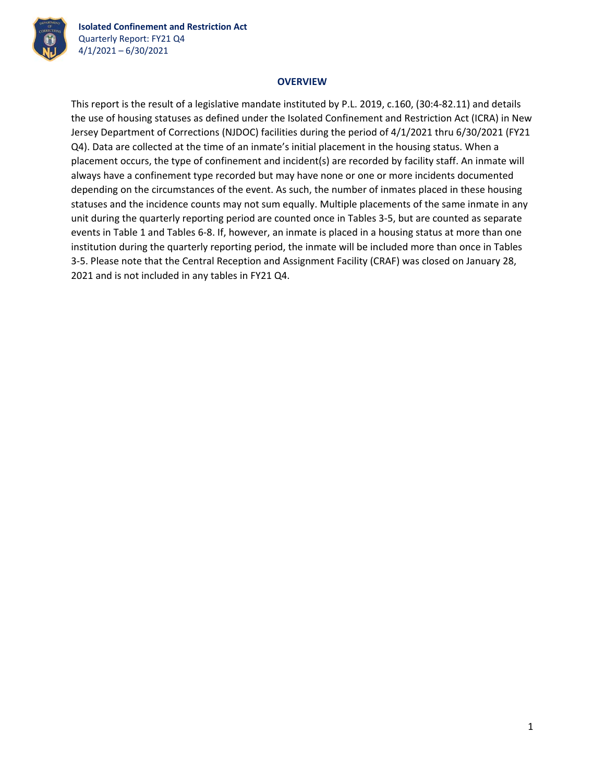

## **OVERVIEW**

This report is the result of a legislative mandate instituted by P.L. 2019, c.160, (30:4‐82.11) and details the use of housing statuses as defined under the Isolated Confinement and Restriction Act (ICRA) in New Jersey Department of Corrections (NJDOC) facilities during the period of 4/1/2021 thru 6/30/2021 (FY21 Q4). Data are collected at the time of an inmate's initial placement in the housing status. When a placement occurs, the type of confinement and incident(s) are recorded by facility staff. An inmate will always have a confinement type recorded but may have none or one or more incidents documented depending on the circumstances of the event. As such, the number of inmates placed in these housing statuses and the incidence counts may not sum equally. Multiple placements of the same inmate in any unit during the quarterly reporting period are counted once in Tables 3‐5, but are counted as separate events in Table 1 and Tables 6‐8. If, however, an inmate is placed in a housing status at more than one institution during the quarterly reporting period, the inmate will be included more than once in Tables 3‐5. Please note that the Central Reception and Assignment Facility (CRAF) was closed on January 28, 2021 and is not included in any tables in FY21 Q4.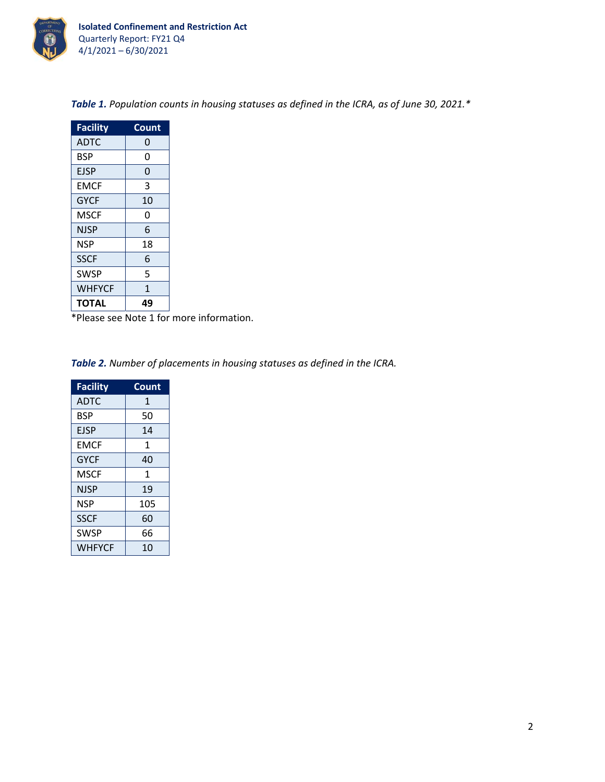

| <b>Facility</b> | Count |
|-----------------|-------|
| <b>ADTC</b>     | 0     |
| <b>BSP</b>      | 0     |
| <b>EJSP</b>     | 0     |
| <b>EMCF</b>     | 3     |
| <b>GYCF</b>     | 10    |
| <b>MSCF</b>     | 0     |
| <b>NJSP</b>     | 6     |
| <b>NSP</b>      | 18    |
| <b>SSCF</b>     | 6     |
| <b>SWSP</b>     | 5     |
| WHFYCF          | 1     |
| <b>TOTAL</b>    | 49    |

*Table 1. Population counts in housing statuses as defined in the ICRA, as of June 30, 2021.\**

\*Please see Note 1 for more information.

*Table 2. Number of placements in housing statuses as defined in the ICRA.*

| <b>Facility</b> | Count |
|-----------------|-------|
| <b>ADTC</b>     | 1     |
| <b>BSP</b>      | 50    |
| <b>EJSP</b>     | 14    |
| <b>EMCF</b>     | 1     |
| <b>GYCF</b>     | 40    |
| MSCF            | 1     |
| NJSP            | 19    |
| <b>NSP</b>      | 105   |
| <b>SSCF</b>     | 60    |
| <b>SWSP</b>     | 66    |
| <b>WHFYCF</b>   | 10    |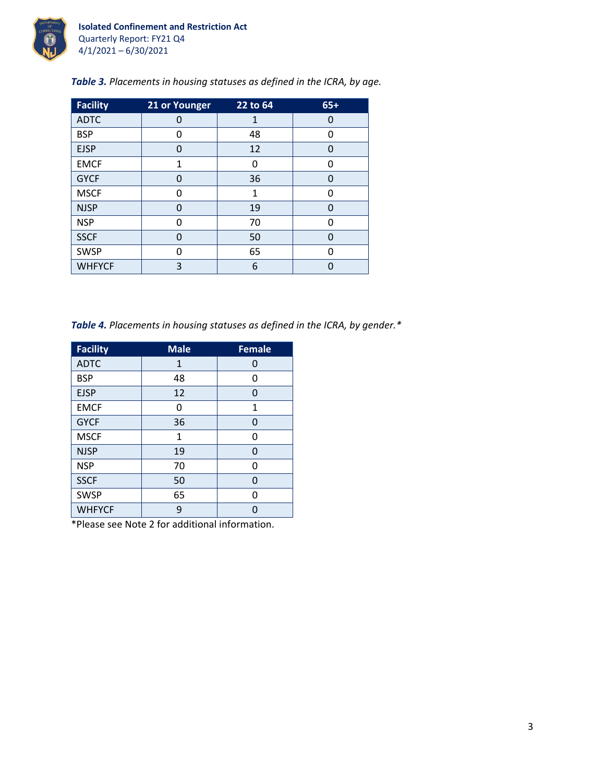

| Table 3. Placements in housing statuses as defined in the ICRA, by age. |  |  |  |
|-------------------------------------------------------------------------|--|--|--|
|                                                                         |  |  |  |

| <b>Facility</b> | 21 or Younger | 22 to 64 | $65+$ |
|-----------------|---------------|----------|-------|
| <b>ADTC</b>     | 0             | 1        | 0     |
| <b>BSP</b>      | 0             | 48       | ŋ     |
| <b>EJSP</b>     | 0             | 12       | 0     |
| <b>EMCF</b>     | 1             | 0        | O     |
| <b>GYCF</b>     | 0             | 36       | 0     |
| <b>MSCF</b>     | O             | 1        | O     |
| <b>NJSP</b>     | $\Omega$      | 19       | 0     |
| <b>NSP</b>      | 0             | 70       | ŋ     |
| <b>SSCF</b>     | $\Omega$      | 50       | 0     |
| <b>SWSP</b>     | U             | 65       | ŋ     |
| <b>WHFYCF</b>   | 3             | 6        | N     |

*Table 4. Placements in housing statuses as defined in the ICRA, by gender.\**

| <b>Facility</b> | <b>Male</b>  | <b>Female</b> |
|-----------------|--------------|---------------|
| <b>ADTC</b>     | $\mathbf{1}$ | 0             |
| <b>BSP</b>      | 48           | 0             |
| <b>EJSP</b>     | 12           | 0             |
| <b>EMCF</b>     | 0            | 1             |
| <b>GYCF</b>     | 36           | 0             |
| <b>MSCF</b>     | 1            | 0             |
| <b>NJSP</b>     | 19           | 0             |
| <b>NSP</b>      | 70           | 0             |
| <b>SSCF</b>     | 50           | 0             |
| <b>SWSP</b>     | 65           | 0             |
| <b>WHFYCF</b>   | 9            | U             |

\*Please see Note 2 for additional information.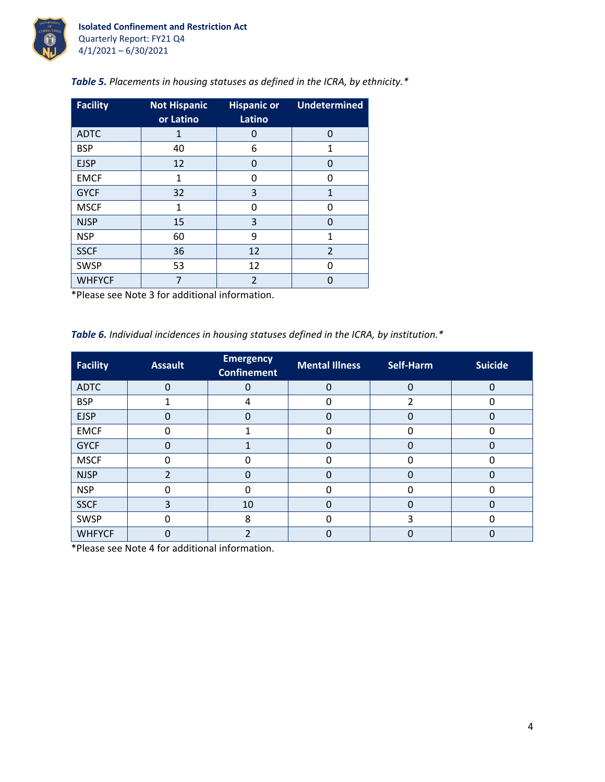

| <b>Facility</b> | <b>Not Hispanic</b> | <b>Hispanic or</b> | <b>Undetermined</b> |
|-----------------|---------------------|--------------------|---------------------|
|                 | or Latino           | Latino             |                     |
| <b>ADTC</b>     | 1                   | 0                  | $\Omega$            |
| <b>BSP</b>      | 40                  | 6                  | 1                   |
| <b>EJSP</b>     | 12                  | 0                  | O                   |
| <b>EMCF</b>     | 1                   | O                  | n                   |
| <b>GYCF</b>     | 32                  | 3                  | 1                   |
| <b>MSCF</b>     | 1                   | 0                  | O                   |
| <b>NJSP</b>     | 15                  | 3                  | O                   |
| <b>NSP</b>      | 60                  | 9                  | 1                   |
| <b>SSCF</b>     | 36                  | 12                 | $\overline{2}$      |
| <b>SWSP</b>     | 53                  | 12                 | O                   |
| <b>WHFYCF</b>   |                     | $\overline{2}$     |                     |

*Table 5. Placements in housing statuses as defined in the ICRA, by ethnicity.\**

\*Please see Note 3 for additional information.

*Table 6. Individual incidences in housing statuses defined in the ICRA, by institution.\**

| <b>Facility</b> | <b>Assault</b> | <b>Emergency</b><br><b>Confinement</b> | <b>Mental Illness</b> | Self-Harm | <b>Suicide</b> |
|-----------------|----------------|----------------------------------------|-----------------------|-----------|----------------|
| <b>ADTC</b>     | $\Omega$       | $\Omega$                               | $\Omega$              | $\Omega$  | 0              |
| <b>BSP</b>      |                | 4                                      | U                     |           |                |
| <b>EJSP</b>     | ი              | 0                                      | 0                     |           |                |
| <b>EMCF</b>     |                |                                        |                       |           |                |
| <b>GYCF</b>     | 0              |                                        |                       |           |                |
| <b>MSCF</b>     |                | O                                      |                       |           |                |
| <b>NJSP</b>     |                | 0                                      | 0                     |           |                |
| <b>NSP</b>      |                | O                                      |                       |           |                |
| <b>SSCF</b>     | 3              | 10                                     | 0                     |           |                |
| <b>SWSP</b>     | O              | 8                                      | U                     |           |                |
| <b>WHFYCF</b>   | U              |                                        | O                     |           |                |

\*Please see Note 4 for additional information.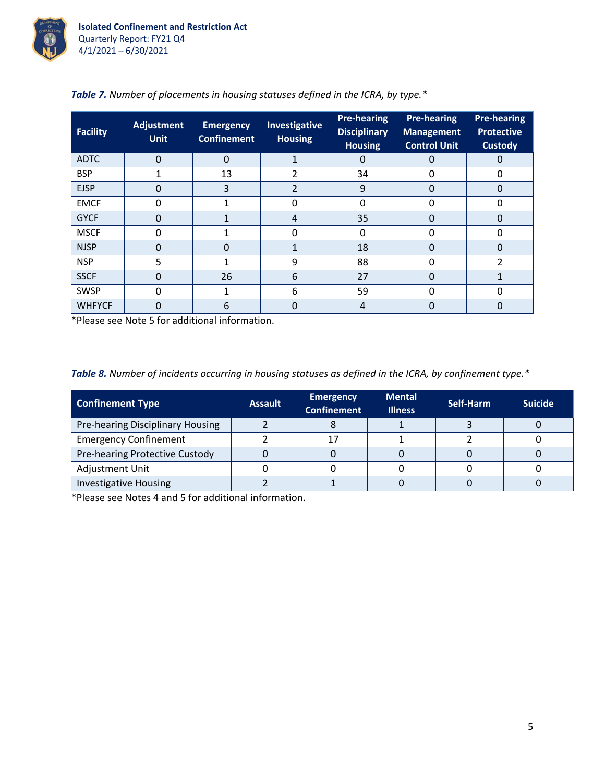

| <b>Facility</b> | <b>Adjustment</b><br><b>Unit</b> | <b>Emergency</b><br><b>Confinement</b> | Investigative<br><b>Housing</b> | <b>Pre-hearing</b><br><b>Disciplinary</b><br><b>Housing</b> | <b>Pre-hearing</b><br><b>Management</b><br><b>Control Unit</b> | <b>Pre-hearing</b><br><b>Protective</b><br><b>Custody</b> |
|-----------------|----------------------------------|----------------------------------------|---------------------------------|-------------------------------------------------------------|----------------------------------------------------------------|-----------------------------------------------------------|
| <b>ADTC</b>     | $\Omega$                         | $\Omega$                               |                                 | 0                                                           | 0                                                              |                                                           |
| <b>BSP</b>      |                                  | 13                                     |                                 | 34                                                          | 0                                                              |                                                           |
| <b>EJSP</b>     | 0                                | 3                                      | 2                               | 9                                                           | 0                                                              |                                                           |
| <b>EMCF</b>     | 0                                |                                        | 0                               | O                                                           | 0                                                              |                                                           |
| <b>GYCF</b>     | 0                                |                                        | $\overline{4}$                  | 35                                                          | 0                                                              |                                                           |
| <b>MSCF</b>     | ი                                |                                        | 0                               | O                                                           | U                                                              |                                                           |
| <b>NJSP</b>     | 0                                | 0                                      |                                 | 18                                                          | 0                                                              |                                                           |
| <b>NSP</b>      | 5                                |                                        | 9                               | 88                                                          | $\Omega$                                                       |                                                           |
| <b>SSCF</b>     | 0                                | 26                                     | 6                               | 27                                                          |                                                                |                                                           |
| <b>SWSP</b>     | 0                                |                                        | 6                               | 59                                                          | 0                                                              |                                                           |
| <b>WHFYCF</b>   | 0                                | 6                                      | 0                               | 4                                                           |                                                                |                                                           |

|  | Table 7. Number of placements in housing statuses defined in the ICRA, by type.* |  |  |  |
|--|----------------------------------------------------------------------------------|--|--|--|
|  |                                                                                  |  |  |  |

\*Please see Note 5 for additional information.

|  |  |  |  |  | Table 8. Number of incidents occurring in housing statuses as defined in the ICRA, by confinement type.* |
|--|--|--|--|--|----------------------------------------------------------------------------------------------------------|
|--|--|--|--|--|----------------------------------------------------------------------------------------------------------|

| <b>Confinement Type</b>          | <b>Assault</b> | <b>Emergency</b><br><b>Confinement</b> | <b>Mental</b><br><b>Illness</b> | Self-Harm | <b>Suicide</b> |
|----------------------------------|----------------|----------------------------------------|---------------------------------|-----------|----------------|
| Pre-hearing Disciplinary Housing |                |                                        |                                 |           |                |
| <b>Emergency Confinement</b>     |                |                                        |                                 |           |                |
| Pre-hearing Protective Custody   |                |                                        |                                 |           |                |
| Adjustment Unit                  |                |                                        |                                 |           |                |
| <b>Investigative Housing</b>     |                |                                        |                                 |           |                |

\*Please see Notes 4 and 5 for additional information.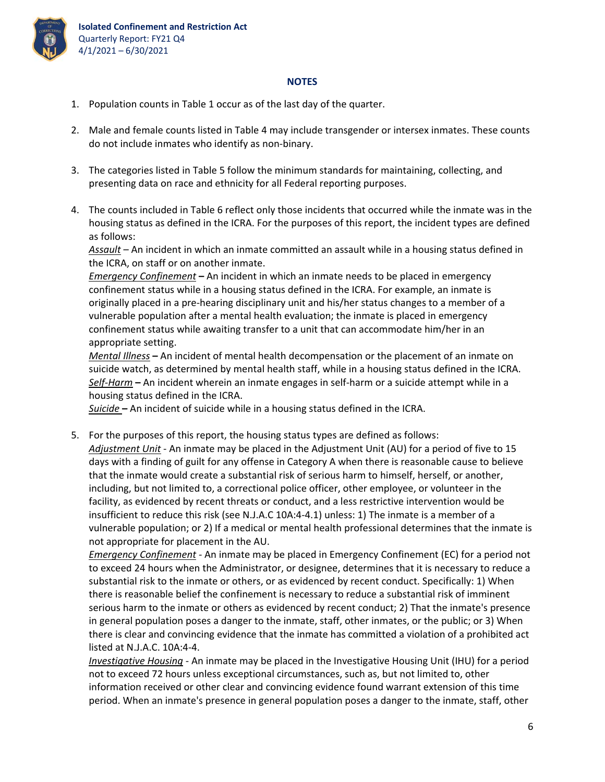

## **NOTES**

- 1. Population counts in Table 1 occur as of the last day of the quarter.
- 2. Male and female counts listed in Table 4 may include transgender or intersex inmates. These counts do not include inmates who identify as non‐binary.
- 3. The categories listed in Table 5 follow the minimum standards for maintaining, collecting, and presenting data on race and ethnicity for all Federal reporting purposes.
- 4. The counts included in Table 6 reflect only those incidents that occurred while the inmate was in the housing status as defined in the ICRA. For the purposes of this report, the incident types are defined as follows:

*Assault* – An incident in which an inmate committed an assault while in a housing status defined in the ICRA, on staff or on another inmate.

*Emergency Confinement* **–** An incident in which an inmate needs to be placed in emergency confinement status while in a housing status defined in the ICRA. For example, an inmate is originally placed in a pre‐hearing disciplinary unit and his/her status changes to a member of a vulnerable population after a mental health evaluation; the inmate is placed in emergency confinement status while awaiting transfer to a unit that can accommodate him/her in an appropriate setting.

*Mental Illness* **–** An incident of mental health decompensation or the placement of an inmate on suicide watch, as determined by mental health staff, while in a housing status defined in the ICRA. *Self‐Harm* **–** An incident wherein an inmate engages in self‐harm or a suicide attempt while in a housing status defined in the ICRA.

*Suicide* **–** An incident of suicide while in a housing status defined in the ICRA.

5. For the purposes of this report, the housing status types are defined as follows: *Adjustment Unit* ‐ An inmate may be placed in the Adjustment Unit (AU) for a period of five to 15 days with a finding of guilt for any offense in Category A when there is reasonable cause to believe that the inmate would create a substantial risk of serious harm to himself, herself, or another, including, but not limited to, a correctional police officer, other employee, or volunteer in the facility, as evidenced by recent threats or conduct, and a less restrictive intervention would be insufficient to reduce this risk (see N.J.A.C 10A:4‐4.1) unless: 1) The inmate is a member of a vulnerable population; or 2) If a medical or mental health professional determines that the inmate is not appropriate for placement in the AU.

*Emergency Confinement ‐* An inmate may be placed in Emergency Confinement (EC) for a period not to exceed 24 hours when the Administrator, or designee, determines that it is necessary to reduce a substantial risk to the inmate or others, or as evidenced by recent conduct. Specifically: 1) When there is reasonable belief the confinement is necessary to reduce a substantial risk of imminent serious harm to the inmate or others as evidenced by recent conduct; 2) That the inmate's presence in general population poses a danger to the inmate, staff, other inmates, or the public; or 3) When there is clear and convincing evidence that the inmate has committed a violation of a prohibited act listed at N.J.A.C. 10A:4‐4.

*Investigative Housing* ‐ An inmate may be placed in the Investigative Housing Unit (IHU) for a period not to exceed 72 hours unless exceptional circumstances, such as, but not limited to, other information received or other clear and convincing evidence found warrant extension of this time period. When an inmate's presence in general population poses a danger to the inmate, staff, other